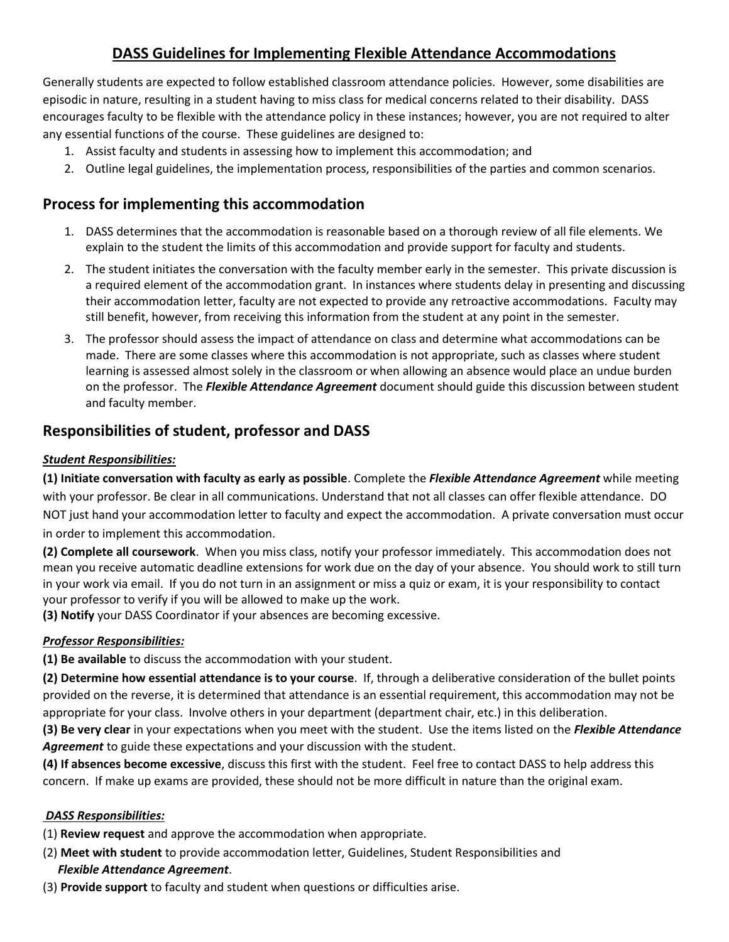# **DASS Guidelines for Implementing Flexible Attendance Accommodations**

Generally students are expected to follow established classroom attendance policies. However, some disabilities are episodic in nature, resulting in a student having to miss class for medical concerns related to their disability. DASS encourages faculty to be flexible with the attendance policy in these instances; however, you are not required to alter any essential functions of the course. These guidelines are designed to:

- 1. Assist faculty and students in assessing how to implement this accommodation; and
- 2. Outline legal guidelines, the implementation process, responsibilities of the parties and common scenarios.

### **Process for implementing this accommodation**

- 1. DASS determines that the accommodation is reasonable based on a thorough review of all file elements. We explain to the student the limits of this accommodation and provide support for faculty and students.
- 2. The student initiates the conversation with the faculty member early in the semester. This private discussion is a required element of the accommodation grant. In instances where students delay in presenting and discussing their accommodation letter, faculty are not expected to provide any retroactive accommodations. Faculty may still benefit, however, from receiving this information from the student at any point in the semester.
- 3. The professor should assess the impact of attendance on class and determine what accommodations can be made. There are some classes where this accommodation is not appropriate, such as classes where student learning is assessed almost solely in the classroom or when allowing an absence would place an undue burden on the professor. The *Flexible Attendance Agreement* document should guide this discussion between student and faculty member.

### **Responsibilities of student, professor and DASS**

#### *Student Responsibilities:*

**(1) Initiate conversation with faculty as early as possible**. Complete the *Flexible Attendance Agreement* while meeting with your professor. Be clear in all communications. Understand that not all classes can offer flexible attendance. DO NOT just hand your accommodation letter to faculty and expect the accommodation. A private conversation must occur in order to implement this accommodation.

**(2) Complete all coursework**. When you miss class, notify your professor immediately. This accommodation does not mean you receive automatic deadline extensions for work due on the day of your absence. You should work to still turn in your work via email. If you do not turn in an assignment or miss a quiz or exam, it is your responsibility to contact your professor to verify if you will be allowed to make up the work.

**(3) Notify** your DASS Coordinator if your absences are becoming excessive.

#### *Professor Responsibilities:*

**(1) Be available** to discuss the accommodation with your student.

**(2) Determine how essential attendance is to your course**. If, through a deliberative consideration of the bullet points provided on the reverse, it is determined that attendance is an essential requirement, this accommodation may not be appropriate for your class. Involve others in your department (department chair, etc.) in this deliberation.

**(3) Be very clear** in your expectations when you meet with the student. Use the items listed on the *Flexible Attendance Agreement* to guide these expectations and your discussion with the student.

**(4) If absences become excessive**, discuss this first with the student. Feel free to contact DASS to help address this concern. If make up exams are provided, these should not be more difficult in nature than the original exam.

#### *DASS Responsibilities:*

- (1) **Review request** and approve the accommodation when appropriate.
- (2) **Meet with student** to provide accommodation letter, Guidelines, Student Responsibilities and *Flexible Attendance Agreement*.
- (3) **Provide support** to faculty and student when questions or difficulties arise.